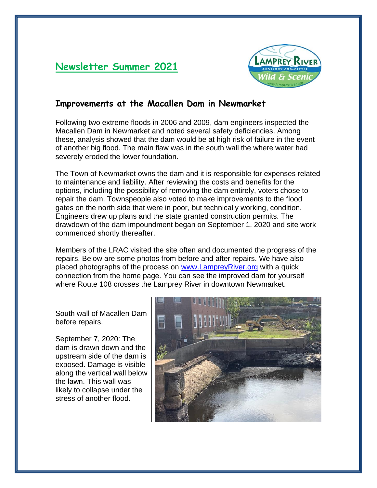# **Newsletter Summer 2021**



### **Improvements at the Macallen Dam in Newmarket**

Following two extreme floods in 2006 and 2009, dam engineers inspected the Macallen Dam in Newmarket and noted several safety deficiencies. Among these, analysis showed that the dam would be at high risk of failure in the event of another big flood. The main flaw was in the south wall the where water had severely eroded the lower foundation.

The Town of Newmarket owns the dam and it is responsible for expenses related to maintenance and liability. After reviewing the costs and benefits for the options, including the possibility of removing the dam entirely, voters chose to repair the dam. Townspeople also voted to make improvements to the flood gates on the north side that were in poor, but technically working, condition. Engineers drew up plans and the state granted construction permits. The drawdown of the dam impoundment began on September 1, 2020 and site work commenced shortly thereafter.

Members of the LRAC visited the site often and documented the progress of the repairs. Below are some photos from before and after repairs. We have also placed photographs of the process on [www.LampreyRiver.org](http://www.lampreyriver.org/) with a quick connection from the home page. You can see the improved dam for yourself where Route 108 crosses the Lamprey River in downtown Newmarket.

South wall of Macallen Dam before repairs.

September 7, 2020: The dam is drawn down and the upstream side of the dam is exposed. Damage is visible along the vertical wall below the lawn. This wall was likely to collapse under the stress of another flood.

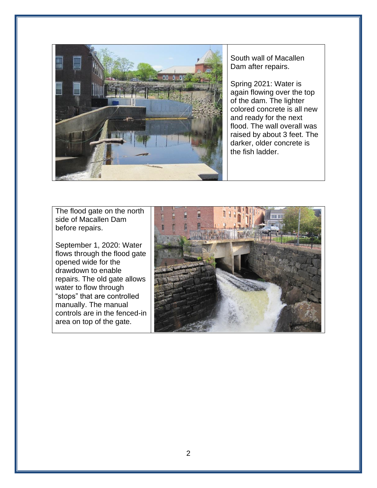

South wall of Macallen Dam after repairs.

Spring 2021: Water is again flowing over the top of the dam. The lighter colored concrete is all new and ready for the next flood. The wall overall was raised by about 3 feet. The darker, older concrete is the fish ladder.

The flood gate on the north side of Macallen Dam before repairs.

September 1, 2020: Water flows through the flood gate opened wide for the drawdown to enable repairs. The old gate allows water to flow through "stops" that are controlled manually. The manual controls are in the fenced-in area on top of the gate.

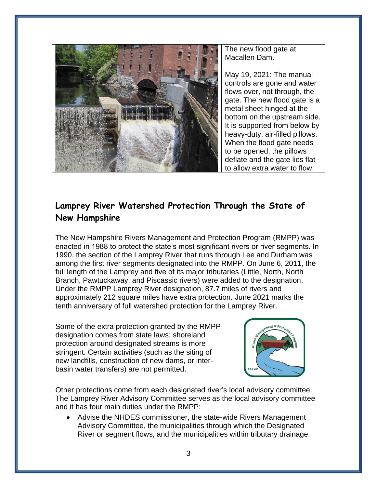

The new flood gate at Macallen Dam.

May 19, 2021: The manual controls are gone and water flows over, not through, the gate. The new flood gate is a metal sheet hinged at the bottom on the upstream side. It is supported from below by heavy-duty, air-filled pillows. When the flood gate needs to be opened, the pillows deflate and the gate lies flat to allow extra water to flow.

## **Lamprey River Watershed Protection Through the State of New Hampshire**

The New Hampshire Rivers Management and Protection Program (RMPP) was enacted in 1988 to protect the state's most significant rivers or river segments. In 1990, the section of the Lamprey River that runs through Lee and Durham was among the first river segments designated into the RMPP. On June 6, 2011, the full length of the Lamprey and five of its major tributaries (Little, North, North Branch, Pawtuckaway, and Piscassic rivers) were added to the designation. Under the RMPP Lamprey River designation, 87.7 miles of rivers and approximately 212 square miles have extra protection. June 2021 marks the tenth anniversary of full watershed protection for the Lamprey River.

Some of the extra protection granted by the RMPP designation comes from state laws; shoreland protection around designated streams is more stringent. Certain activities (such as the siting of new landfills, construction of new dams, or interbasin water transfers) are not permitted.



Other protections come from each designated river's local advisory committee. The Lamprey River Advisory Committee serves as the local advisory committee and it has four main duties under the RMPP:

• Advise the NHDES commissioner, the state-wide Rivers Management Advisory Committee, the municipalities through which the Designated River or segment flows, and the municipalities within tributary drainage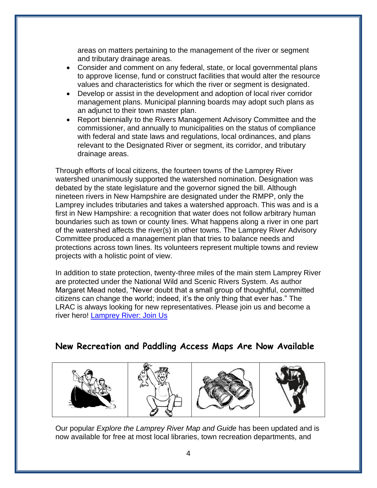areas on matters pertaining to the management of the river or segment and tributary drainage areas.

- Consider and comment on any federal, state, or local governmental plans to approve license, fund or construct facilities that would alter the resource values and characteristics for which the river or segment is designated.
- Develop or assist in the development and adoption of local river corridor management plans. Municipal planning boards may adopt such plans as an adjunct to their town master plan.
- Report biennially to the Rivers Management Advisory Committee and the commissioner, and annually to municipalities on the status of compliance with federal and state laws and regulations, local ordinances, and plans relevant to the Designated River or segment, its corridor, and tributary drainage areas.

Through efforts of local citizens, the fourteen towns of the Lamprey River watershed unanimously supported the watershed nomination. Designation was debated by the state legislature and the governor signed the bill. Although nineteen rivers in New Hampshire are designated under the RMPP, only the Lamprey includes tributaries and takes a watershed approach. This was and is a first in New Hampshire: a recognition that water does not follow arbitrary human boundaries such as town or county lines. What happens along a river in one part of the watershed affects the river(s) in other towns. The Lamprey River Advisory Committee produced a management plan that tries to balance needs and protections across town lines. Its volunteers represent multiple towns and review projects with a holistic point of view.

In addition to state protection, twenty-three miles of the main stem Lamprey River are protected under the National Wild and Scenic Rivers System. As author Margaret Mead noted, "Never doubt that a small group of thoughtful, committed citizens can change the world; indeed, it's the only thing that ever has." The LRAC is always looking for new representatives. Please join us and become a river hero! [Lamprey River: Join Us](https://www.lampreyriver.org/join-up)

#### **New Recreation and Paddling Access Maps Are Now Available**









Our popular *Explore the Lamprey River Map and Guide* has been updated and is now available for free at most local libraries, town recreation departments, and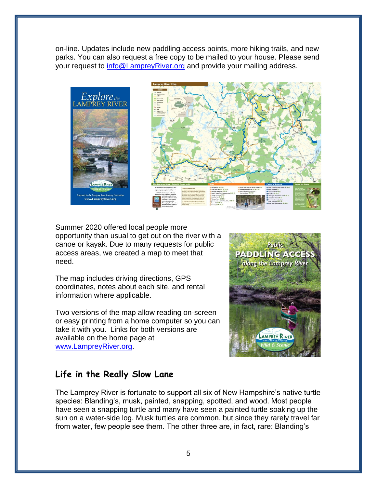on-line. Updates include new paddling access points, more hiking trails, and new parks. You can also request a free copy to be mailed to your house. Please send your request to [info@LampreyRiver.org](mailto:info@LampreyRiver.org) and provide your mailing address.



Summer 2020 offered local people more opportunity than usual to get out on the river with a canoe or kayak. Due to many requests for public access areas, we created a map to meet that need.

The map includes driving directions, GPS coordinates, notes about each site, and rental information where applicable.

Two versions of the map allow reading on-screen or easy printing from a home computer so you can take it with you. Links for both versions are available on the home page at [www.LampreyRiver.org.](http://www.lampreyriver.org/)



## **Life in the Really Slow Lane**

The Lamprey River is fortunate to support all six of New Hampshire's native turtle species: Blanding's, musk, painted, snapping, spotted, and wood. Most people have seen a snapping turtle and many have seen a painted turtle soaking up the sun on a water-side log. Musk turtles are common, but since they rarely travel far from water, few people see them. The other three are, in fact, rare: Blanding's